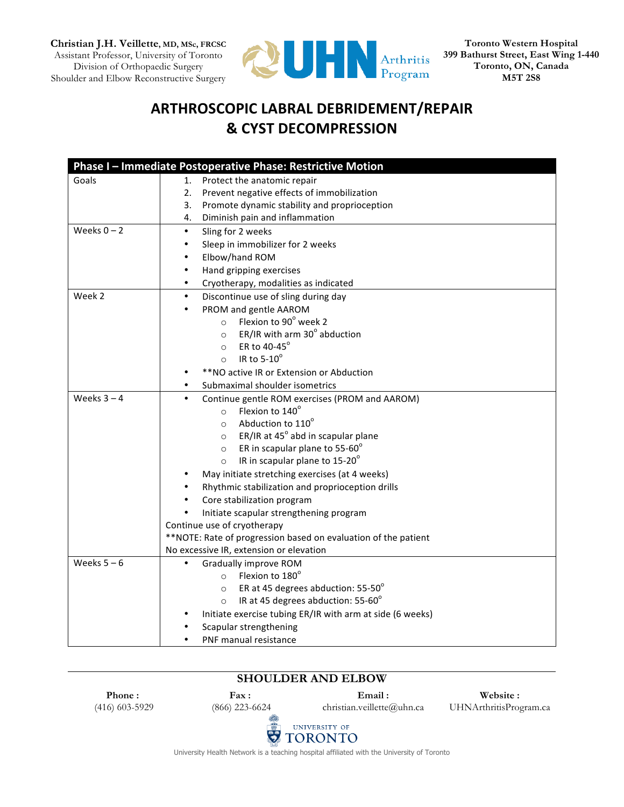**Christian J.H. Veillette, MD, MSc, FRCSC** Assistant Professor, University of Toronto Division of Orthopaedic Surgery Shoulder and Elbow Reconstructive Surgery



**Toronto Western Hospital 399 Bathurst Street, East Wing 1-440 Toronto, ON, Canada M5T 2S8**

# **ARTHROSCOPIC LABRAL DEBRIDEMENT/REPAIR & CYST DECOMPRESSION**

|               | Phase I - Immediate Postoperative Phase: Restrictive Motion    |
|---------------|----------------------------------------------------------------|
| Goals         | Protect the anatomic repair<br>1.                              |
|               | 2. Prevent negative effects of immobilization                  |
|               | Promote dynamic stability and proprioception<br>3.             |
|               | Diminish pain and inflammation<br>4.                           |
| Weeks $0 - 2$ | Sling for 2 weeks<br>$\bullet$                                 |
|               | Sleep in immobilizer for 2 weeks<br>$\bullet$                  |
|               | Elbow/hand ROM<br>$\bullet$                                    |
|               | Hand gripping exercises<br>$\bullet$                           |
|               | Cryotherapy, modalities as indicated<br>$\bullet$              |
| Week 2        | $\bullet$<br>Discontinue use of sling during day               |
|               | PROM and gentle AAROM<br>$\bullet$                             |
|               | $\circ$ Flexion to 90 $^{\circ}$ week 2                        |
|               | ER/IR with arm 30° abduction<br>$\circ$                        |
|               | ER to 40-45°<br>$\circ$                                        |
|               | IR to $5-10^\circ$<br>$\circ$                                  |
|               | **NO active IR or Extension or Abduction                       |
|               | Submaximal shoulder isometrics<br>$\bullet$                    |
| Weeks $3 - 4$ | Continue gentle ROM exercises (PROM and AAROM)<br>$\bullet$    |
|               | Flexion to 140°<br>$\circ$                                     |
|               | Abduction to 110°<br>$\circ$                                   |
|               | ER/IR at 45° abd in scapular plane<br>$\circ$                  |
|               | ER in scapular plane to 55-60°<br>$\circ$                      |
|               | IR in scapular plane to 15-20°<br>$\circ$                      |
|               | May initiate stretching exercises (at 4 weeks)                 |
|               | Rhythmic stabilization and proprioception drills               |
|               | Core stabilization program<br>$\bullet$                        |
|               | Initiate scapular strengthening program                        |
|               | Continue use of cryotherapy                                    |
|               | **NOTE: Rate of progression based on evaluation of the patient |
|               | No excessive IR, extension or elevation                        |
| Weeks $5 - 6$ | Gradually improve ROM                                          |
|               | $\circ$ Flexion to 180 $^{\circ}$                              |
|               | ER at 45 degrees abduction: $55-50^\circ$<br>$\circ$           |
|               | IR at 45 degrees abduction: 55-60°<br>$\circ$                  |
|               | Initiate exercise tubing ER/IR with arm at side (6 weeks)      |
|               | Scapular strengthening                                         |
|               | PNF manual resistance<br>$\bullet$                             |

## **SHOULDER AND ELBOW**

**Phone :** (416) 603-5929

**Fax :** (866) 223-6624 **Email :**

christian.veillette@uhn.ca

**Website :** UHNArthritisProgram.ca



University Health Network is a teaching hospital affiliated with the University of Toronto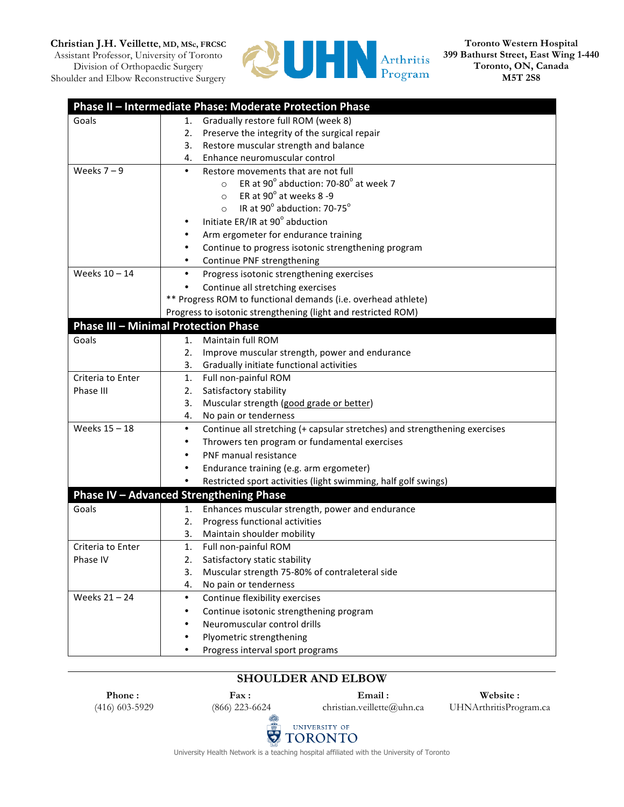#### **Christian J.H. Veillette, MD, MSc, FRCSC**

Assistant Professor, University of Toronto Division of Orthopaedic Surgery Shoulder and Elbow Reconstructive Surgery



**Toronto Western Hospital 399 Bathurst Street, East Wing 1-440 Toronto, ON, Canada M5T 2S8**

|                   | Phase II - Intermediate Phase: Moderate Protection Phase                                |
|-------------------|-----------------------------------------------------------------------------------------|
| Goals             | Gradually restore full ROM (week 8)<br>1.                                               |
|                   | Preserve the integrity of the surgical repair<br>2.                                     |
|                   | Restore muscular strength and balance<br>3.                                             |
|                   | Enhance neuromuscular control<br>4.                                                     |
| Weeks $7 - 9$     | $\bullet$<br>Restore movements that are not full                                        |
|                   | ER at 90 $^{\circ}$ abduction: 70-80 $^{\circ}$ at week 7<br>$\circ$                    |
|                   | ER at $90^\circ$ at weeks 8-9<br>$\circ$                                                |
|                   | IR at $90^\circ$ abduction: 70-75 $^\circ$<br>$\circ$                                   |
|                   | Initiate ER/IR at 90° abduction                                                         |
|                   | Arm ergometer for endurance training                                                    |
|                   | Continue to progress isotonic strengthening program                                     |
|                   | Continue PNF strengthening<br>٠                                                         |
| Weeks 10 - 14     | Progress isotonic strengthening exercises<br>$\bullet$                                  |
|                   | Continue all stretching exercises                                                       |
|                   | ** Progress ROM to functional demands (i.e. overhead athlete)                           |
|                   | Progress to isotonic strengthening (light and restricted ROM)                           |
|                   | <b>Phase III - Minimal Protection Phase</b>                                             |
| Goals             | Maintain full ROM<br>1.                                                                 |
|                   | Improve muscular strength, power and endurance<br>2.                                    |
|                   | Gradually initiate functional activities<br>3.                                          |
| Criteria to Enter | Full non-painful ROM<br>1.                                                              |
| Phase III         | Satisfactory stability<br>2.                                                            |
|                   | Muscular strength (good grade or better)<br>3.                                          |
|                   | No pain or tenderness<br>4.                                                             |
| Weeks 15 - 18     | $\bullet$<br>Continue all stretching (+ capsular stretches) and strengthening exercises |
|                   | Throwers ten program or fundamental exercises                                           |
|                   | PNF manual resistance                                                                   |
|                   | Endurance training (e.g. arm ergometer)                                                 |
|                   | Restricted sport activities (light swimming, half golf swings)                          |
|                   | <b>Phase IV - Advanced Strengthening Phase</b>                                          |
| Goals             | Enhances muscular strength, power and endurance<br>1.                                   |
|                   | Progress functional activities<br>2.                                                    |
|                   | 3.<br>Maintain shoulder mobility                                                        |
| Criteria to Enter | 1.<br>Full non-painful ROM                                                              |
| Phase IV          | 2.<br>Satisfactory static stability                                                     |
|                   | 3.<br>Muscular strength 75-80% of contraleteral side                                    |
|                   | No pain or tenderness<br>4.                                                             |
| Weeks 21-24       | Continue flexibility exercises<br>٠                                                     |
|                   | Continue isotonic strengthening program<br>٠                                            |
|                   | Neuromuscular control drills                                                            |
|                   | Plyometric strengthening                                                                |
|                   | Progress interval sport programs                                                        |

### **SHOULDER AND ELBOW**

**Phone :** (416) 603-5929

**Fax :** (866) 223-6624 **Email :**

christian.veillette@uhn.ca

**Website :** UHNArthritisProgram.ca



University Health Network is a teaching hospital affiliated with the University of Toronto